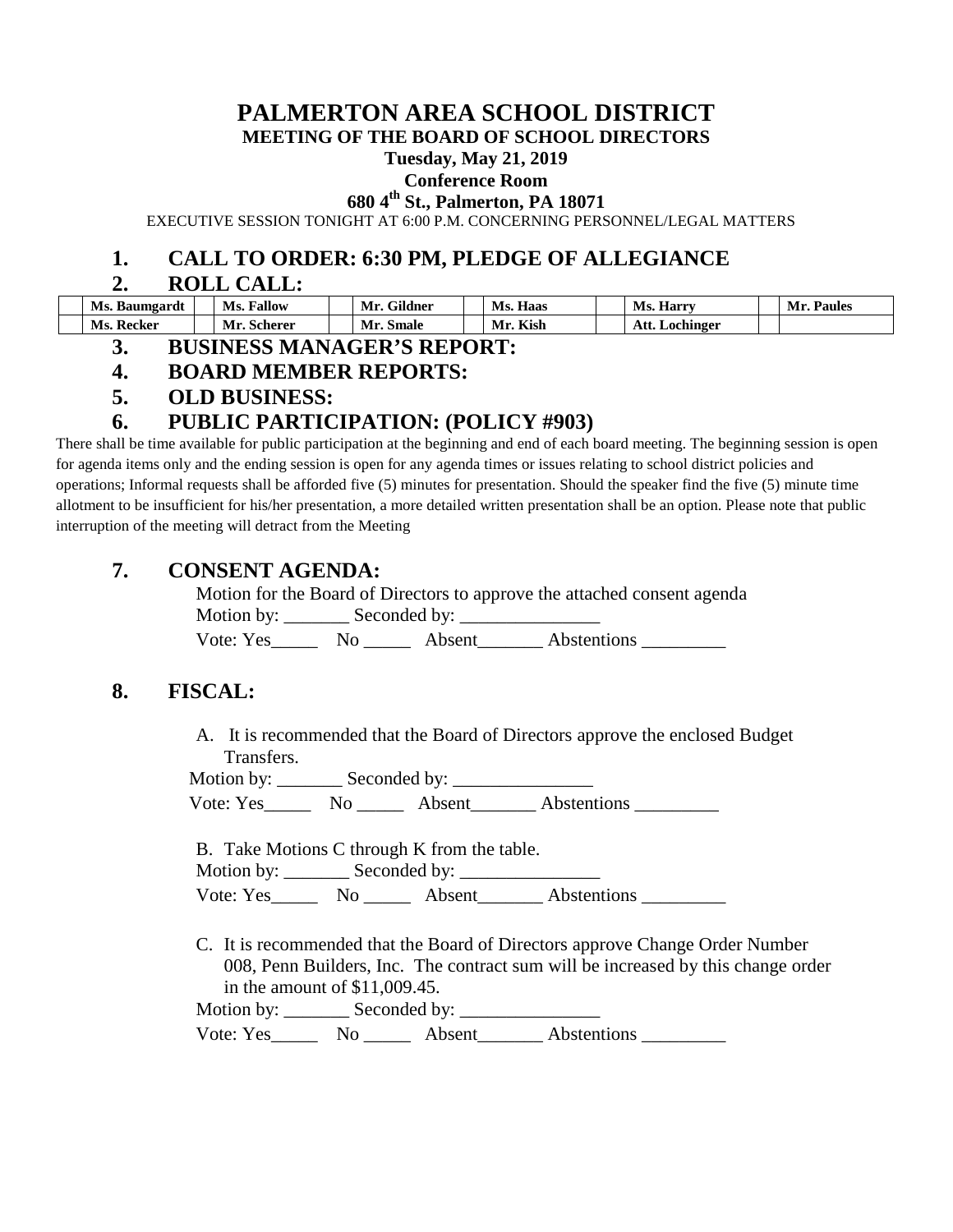# **PALMERTON AREA SCHOOL DISTRICT**

**MEETING OF THE BOARD OF SCHOOL DIRECTORS**

#### **Tuesday, May 21, 2019**

### **Conference Room**

**680 4th St., Palmerton, PA 18071**

EXECUTIVE SESSION TONIGHT AT 6:00 P.M. CONCERNING PERSONNEL/LEGAL MATTERS

### **1. CALL TO ORDER: 6:30 PM, PLEDGE OF ALLEGIANCE**

### **2. ROLL CALL:**

| Ms. Baumgardt | <b>Fallow</b><br>Ms. | $\sim \cdot \cdot$ $\cdot$<br>Mr.<br>Gildner | Ms.<br>Haas | <b>Ms. Harry</b> | Paules<br>- Mr. . |
|---------------|----------------------|----------------------------------------------|-------------|------------------|-------------------|
| Ms. Recker    | Mr.<br>. Scherer     | Mr. Smale                                    | Kish<br>Mı  | Att. Lochinger   |                   |

### **3. BUSINESS MANAGER'S REPORT:**

### **4. BOARD MEMBER REPORTS:**

**5. OLD BUSINESS:**

### **6. PUBLIC PARTICIPATION: (POLICY #903)**

There shall be time available for public participation at the beginning and end of each board meeting. The beginning session is open for agenda items only and the ending session is open for any agenda times or issues relating to school district policies and operations; Informal requests shall be afforded five (5) minutes for presentation. Should the speaker find the five (5) minute time allotment to be insufficient for his/her presentation, a more detailed written presentation shall be an option. Please note that public interruption of the meeting will detract from the Meeting

### **7. CONSENT AGENDA:**

Motion for the Board of Directors to approve the attached consent agenda Motion by: \_\_\_\_\_\_\_ Seconded by: \_\_\_\_\_\_\_\_\_\_\_\_\_\_\_

Vote: Yes\_\_\_\_\_\_\_ No \_\_\_\_\_\_ Absent\_\_\_\_\_\_\_\_ Abstentions \_\_\_\_\_\_\_\_\_\_

### **8. FISCAL:**

A. It is recommended that the Board of Directors approve the enclosed Budget Transfers.

Motion by: \_\_\_\_\_\_\_ Seconded by: \_\_\_\_\_\_\_\_\_\_\_\_\_\_\_ Vote: Yes Mo Absent Abstentions

B. Take Motions C through K from the table.

Motion by: \_\_\_\_\_\_\_ Seconded by: \_\_\_\_\_\_\_\_\_\_\_\_\_\_\_

| Vote: Yes |  |  | Absent | Abstentions |  |
|-----------|--|--|--------|-------------|--|
|-----------|--|--|--------|-------------|--|

C. It is recommended that the Board of Directors approve Change Order Number 008, Penn Builders, Inc. The contract sum will be increased by this change order in the amount of \$11,009.45.

Motion by: \_\_\_\_\_\_\_ Seconded by: \_\_\_\_\_\_\_\_\_\_\_\_\_\_\_

Vote: Yes\_\_\_\_\_\_\_ No \_\_\_\_\_\_\_ Absent\_\_\_\_\_\_\_\_ Abstentions \_\_\_\_\_\_\_\_\_\_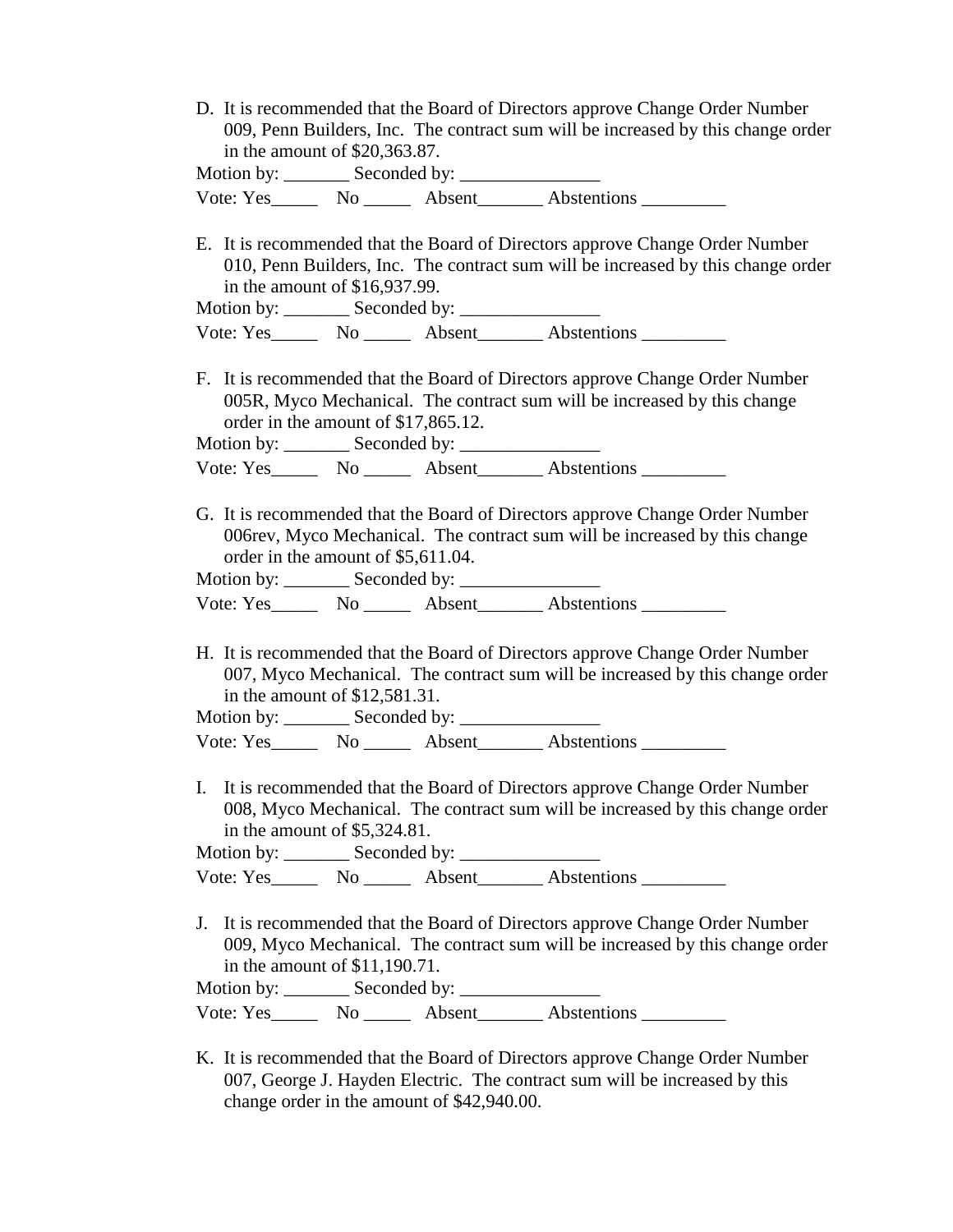|  |                                                                                                                                                                                                                                                                                                                                    | D. It is recommended that the Board of Directors approve Change Order Number     |
|--|------------------------------------------------------------------------------------------------------------------------------------------------------------------------------------------------------------------------------------------------------------------------------------------------------------------------------------|----------------------------------------------------------------------------------|
|  |                                                                                                                                                                                                                                                                                                                                    | 009, Penn Builders, Inc. The contract sum will be increased by this change order |
|  | in the amount of $$20,363.87$ .                                                                                                                                                                                                                                                                                                    |                                                                                  |
|  | $\mathbf{M}$ $\mathbf{M}$ $\mathbf{M}$ $\mathbf{M}$ $\mathbf{M}$ $\mathbf{M}$ $\mathbf{M}$ $\mathbf{M}$ $\mathbf{M}$ $\mathbf{M}$ $\mathbf{M}$ $\mathbf{M}$ $\mathbf{M}$ $\mathbf{M}$ $\mathbf{M}$ $\mathbf{M}$ $\mathbf{M}$ $\mathbf{M}$ $\mathbf{M}$ $\mathbf{M}$ $\mathbf{M}$ $\mathbf{M}$ $\mathbf{M}$ $\mathbf{M}$ $\mathbf{$ |                                                                                  |

| Motion by: | Seconded by: |        |             |
|------------|--------------|--------|-------------|
| Vote: Yes  | No.          | Absent | Abstentions |

E. It is recommended that the Board of Directors approve Change Order Number 010, Penn Builders, Inc. The contract sum will be increased by this change order in the amount of \$16,937.99.

Motion by: Seconded by:

| Vote: Yes | $N_{\Omega}$ | Absent | Abstentions |  |
|-----------|--------------|--------|-------------|--|
|           |              |        |             |  |

F. It is recommended that the Board of Directors approve Change Order Number 005R, Myco Mechanical. The contract sum will be increased by this change order in the amount of \$17,865.12.

Motion by: Seconded by:

| Vote: Yes | $N_{\Omega}$ | Absent | Abstentions |  |
|-----------|--------------|--------|-------------|--|
|-----------|--------------|--------|-------------|--|

G. It is recommended that the Board of Directors approve Change Order Number 006rev, Myco Mechanical. The contract sum will be increased by this change order in the amount of \$5,611.04.

Motion by:  $\frac{\text{Seconded by: }$ 

Vote: Yes No Absent Abstentions

H. It is recommended that the Board of Directors approve Change Order Number 007, Myco Mechanical. The contract sum will be increased by this change order in the amount of \$12,581.31.

Motion by: \_\_\_\_\_\_\_ Seconded by: \_\_\_\_\_\_\_\_\_\_\_\_\_\_\_

Vote: Yes\_\_\_\_\_\_\_ No \_\_\_\_\_\_\_ Absent\_\_\_\_\_\_\_\_ Abstentions \_\_\_\_\_\_\_\_\_\_

I. It is recommended that the Board of Directors approve Change Order Number 008, Myco Mechanical. The contract sum will be increased by this change order in the amount of \$5,324.81.

Motion by:  $\_\_\_\_\$  Seconded by:  $\_\_\_\_\_\_\_\_\_\_\_\_\_\_\_\_$ Vote: Yes\_\_\_\_\_\_\_ No \_\_\_\_\_\_ Absent\_\_\_\_\_\_\_ Abstentions \_\_\_\_\_\_\_\_\_

J. It is recommended that the Board of Directors approve Change Order Number 009, Myco Mechanical. The contract sum will be increased by this change order in the amount of \$11,190.71.

Motion by: Seconded by:

Vote: Yes\_\_\_\_\_\_\_\_\_ No \_\_\_\_\_\_\_\_ Absent\_\_\_\_\_\_\_\_\_ Abstentions

K. It is recommended that the Board of Directors approve Change Order Number 007, George J. Hayden Electric. The contract sum will be increased by this change order in the amount of \$42,940.00.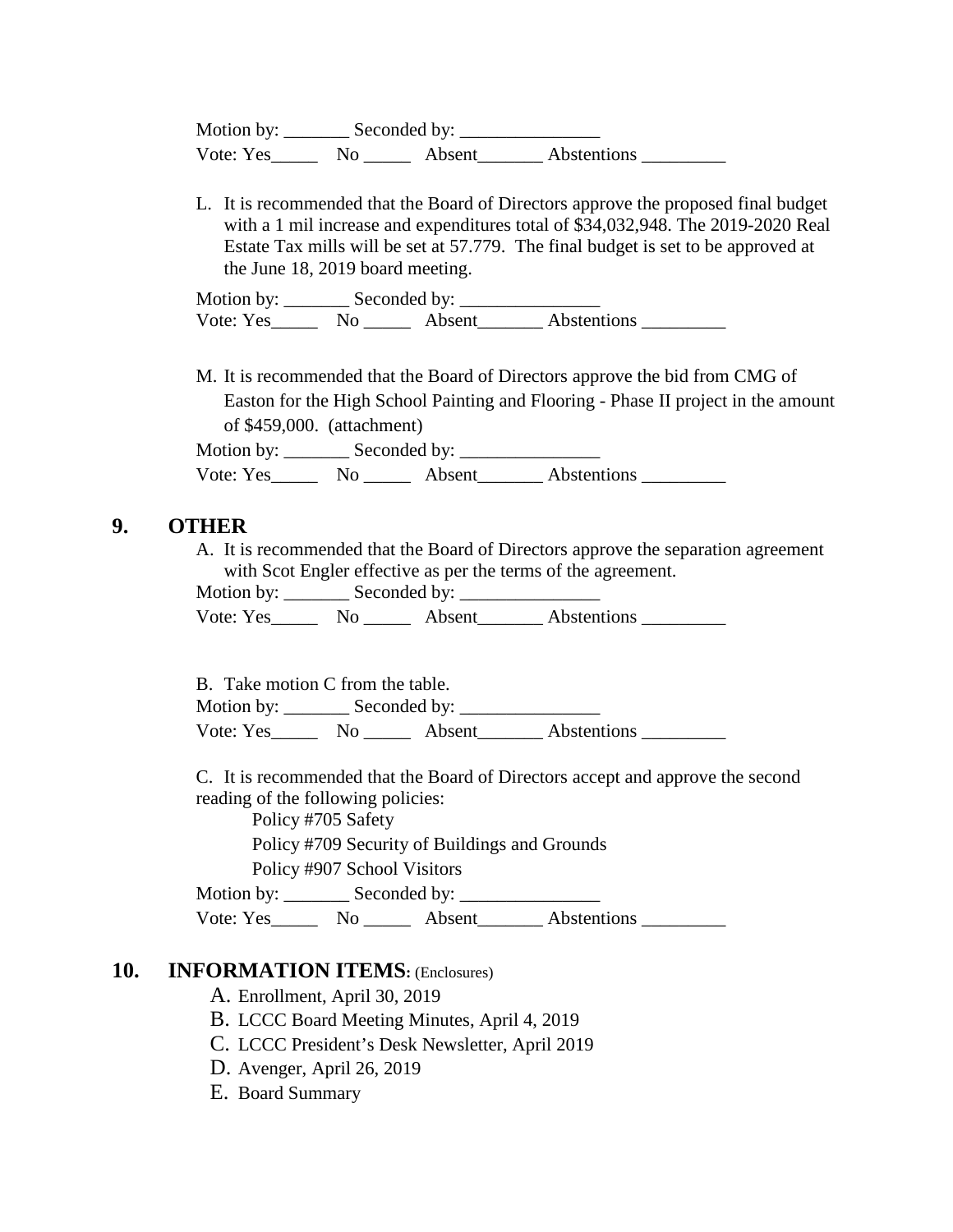Motion by: \_\_\_\_\_\_\_ Seconded by: \_\_\_\_\_\_\_\_\_\_\_\_\_\_\_ Vote: Yes No Absent Abstentions

L. It is recommended that the Board of Directors approve the proposed final budget with a 1 mil increase and expenditures total of \$34,032,948. The 2019-2020 Real Estate Tax mills will be set at 57.779. The final budget is set to be approved at the June 18, 2019 board meeting.

| Motion by: | Seconded by: |        |             |
|------------|--------------|--------|-------------|
| Vote: Yes  | No.          | Absent | Abstentions |

M. It is recommended that the Board of Directors approve the bid from CMG of Easton for the High School Painting and Flooring - Phase II project in the amount of \$459,000. (attachment)

Motion by: \_\_\_\_\_\_\_ Seconded by: \_\_\_\_\_\_\_\_\_\_\_\_\_\_\_ Vote: Yes No Absent Abstentions No and Abstentions No Abstentions No Abstentions No Abstentions No Abstentions No

### **9. OTHER**

A. It is recommended that the Board of Directors approve the separation agreement with Scot Engler effective as per the terms of the agreement.

Motion by: \_\_\_\_\_\_\_ Seconded by: \_\_\_\_\_\_\_\_\_\_\_\_\_\_\_

Vote: Yes\_\_\_\_\_\_\_ No \_\_\_\_\_\_\_ Absent\_\_\_\_\_\_\_\_ Abstentions \_\_\_\_\_\_\_\_\_\_\_

B. Take motion C from the table.

Motion by: \_\_\_\_\_\_\_ Seconded by: \_\_\_\_\_\_\_\_\_\_\_\_\_\_\_ Vote: Yes No Absent Abstentions

C. It is recommended that the Board of Directors accept and approve the second reading of the following policies:

Policy #705 Safety

Policy #709 Security of Buildings and Grounds

Policy #907 School Visitors

Motion by: \_\_\_\_\_\_\_ Seconded by: \_\_\_\_\_\_\_\_\_\_\_\_\_\_\_

Vote: Yes\_\_\_\_\_\_\_ No \_\_\_\_\_\_\_ Absent\_\_\_\_\_\_\_\_ Abstentions \_\_\_\_\_\_\_\_\_\_\_\_\_\_\_\_\_\_\_\_\_\_\_\_\_

### **10. INFORMATION ITEMS:** (Enclosures)

- A. Enrollment, April 30, 2019
- B. LCCC Board Meeting Minutes, April 4, 2019
- C. LCCC President's Desk Newsletter, April 2019
- D. Avenger, April 26, 2019
- E. Board Summary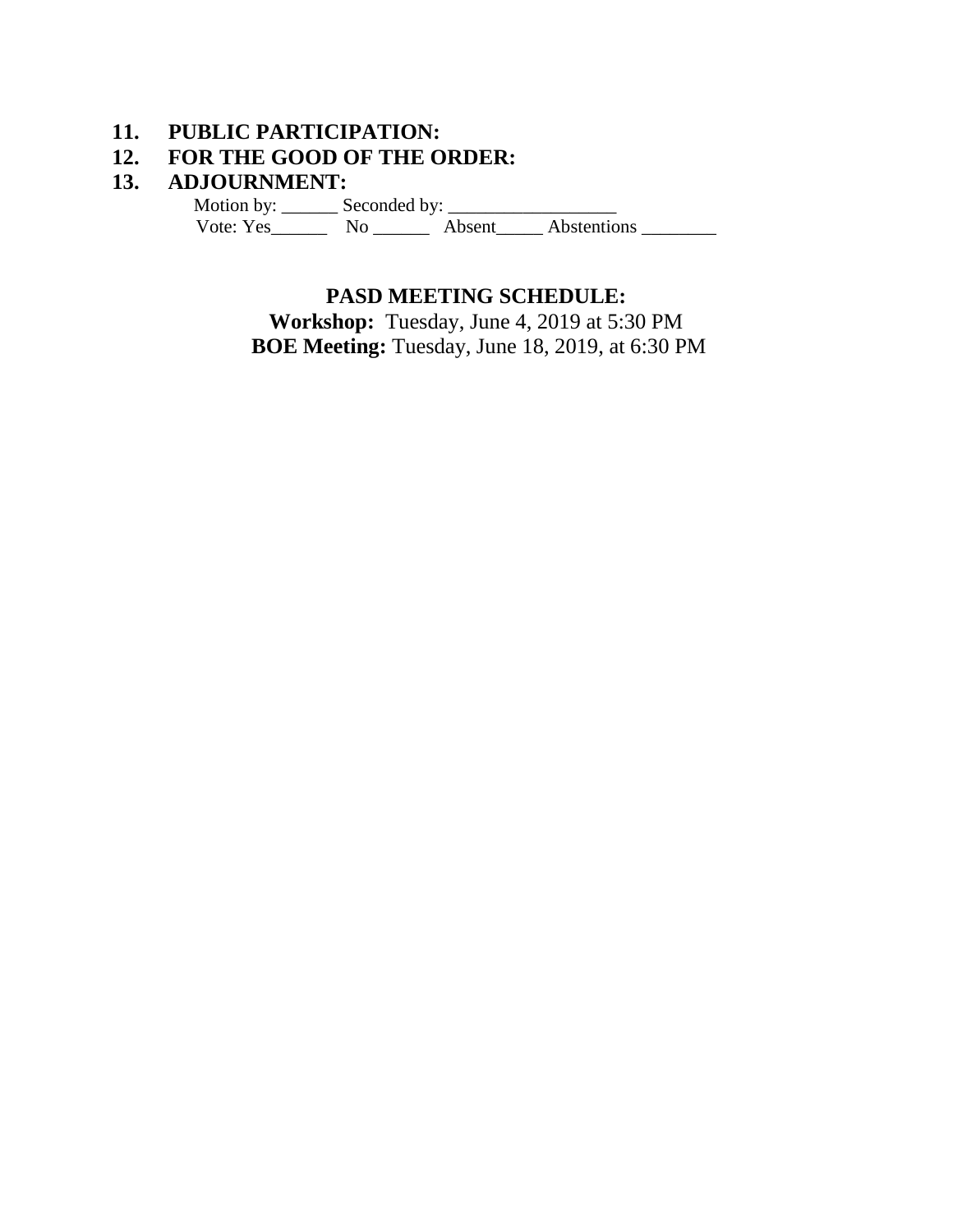# **11. PUBLIC PARTICIPATION:**

# **12. FOR THE GOOD OF THE ORDER:**

### **13. ADJOURNMENT:**

 Motion by: \_\_\_\_\_\_ Seconded by: \_\_\_\_\_\_\_\_\_\_\_\_\_\_\_\_\_\_ Vote: Yes\_\_\_\_\_\_\_\_\_ No \_\_\_\_\_\_\_\_ Absent\_\_\_\_\_ Abstentions \_\_\_\_\_\_\_\_\_\_

## **PASD MEETING SCHEDULE:**

**Workshop:** Tuesday, June 4, 2019 at 5:30 PM **BOE Meeting:** Tuesday, June 18, 2019, at 6:30 PM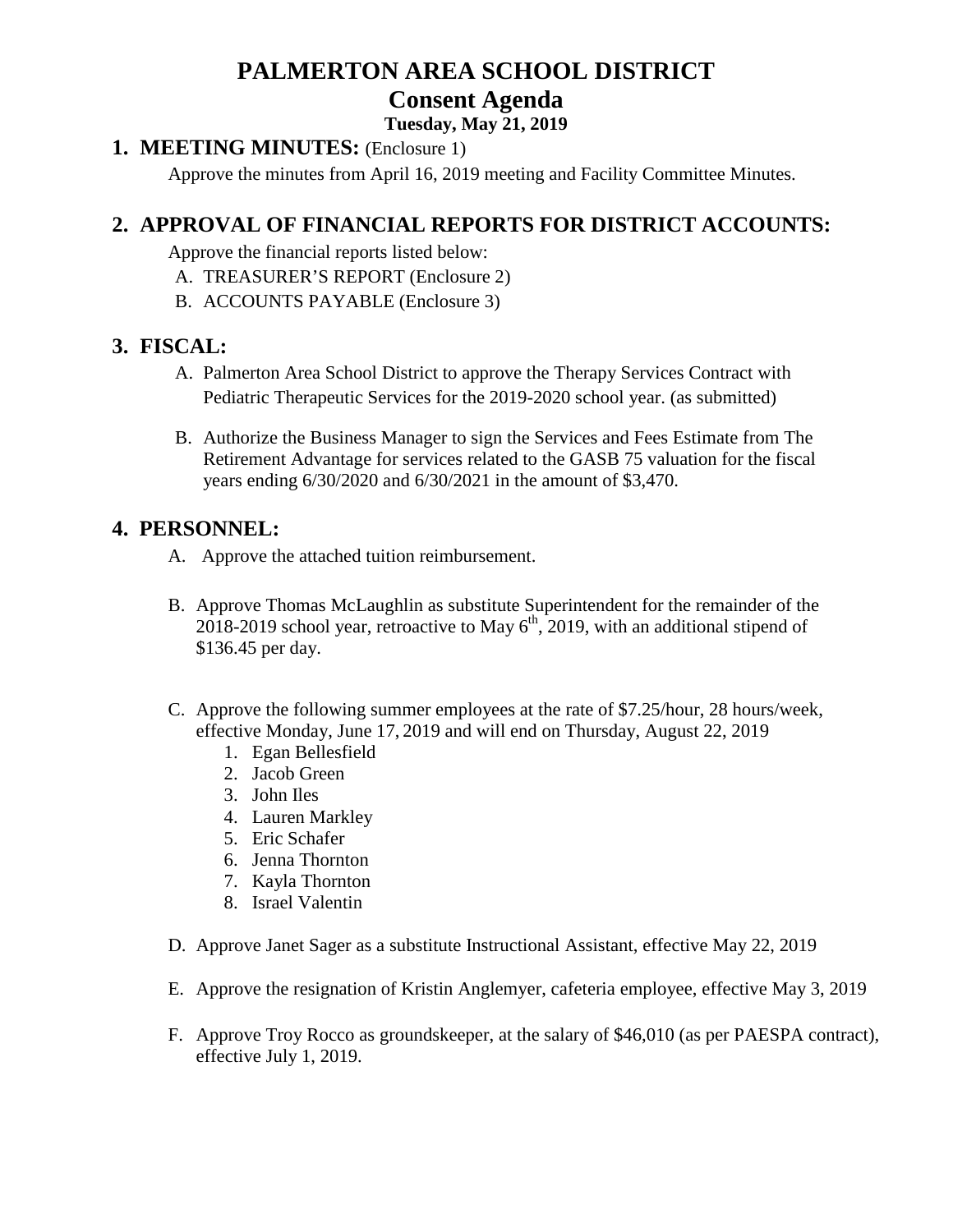# **PALMERTON AREA SCHOOL DISTRICT Consent Agenda**

### **Tuesday, May 21, 2019**

### **1. MEETING MINUTES:** (Enclosure 1)

Approve the minutes from April 16, 2019 meeting and Facility Committee Minutes.

# **2. APPROVAL OF FINANCIAL REPORTS FOR DISTRICT ACCOUNTS:**

Approve the financial reports listed below:

- A. TREASURER'S REPORT (Enclosure 2)
- B. ACCOUNTS PAYABLE (Enclosure 3)

### **3. FISCAL:**

- A. Palmerton Area School District to approve the Therapy Services Contract with Pediatric Therapeutic Services for the 2019-2020 school year. (as submitted)
- B. Authorize the Business Manager to sign the Services and Fees Estimate from The Retirement Advantage for services related to the GASB 75 valuation for the fiscal years ending 6/30/2020 and 6/30/2021 in the amount of \$3,470.

## **4. PERSONNEL:**

- A. Approve the attached tuition reimbursement.
- B. Approve Thomas McLaughlin as substitute Superintendent for the remainder of the  $2018-2019$  school year, retroactive to May  $6<sup>th</sup>$ , 2019, with an additional stipend of \$136.45 per day.
- C. Approve the following summer employees at the rate of \$7.25/hour, 28 hours/week, effective Monday, June 17, 2019 and will end on Thursday, August 22, 2019
	- 1. Egan Bellesfield
	- 2. Jacob Green
	- 3. John Iles
	- 4. Lauren Markley
	- 5. Eric Schafer
	- 6. Jenna Thornton
	- 7. Kayla Thornton
	- 8. Israel Valentin
- D. Approve Janet Sager as a substitute Instructional Assistant, effective May 22, 2019
- E. Approve the resignation of Kristin Anglemyer, cafeteria employee, effective May 3, 2019
- F. Approve Troy Rocco as groundskeeper, at the salary of \$46,010 (as per PAESPA contract), effective July 1, 2019.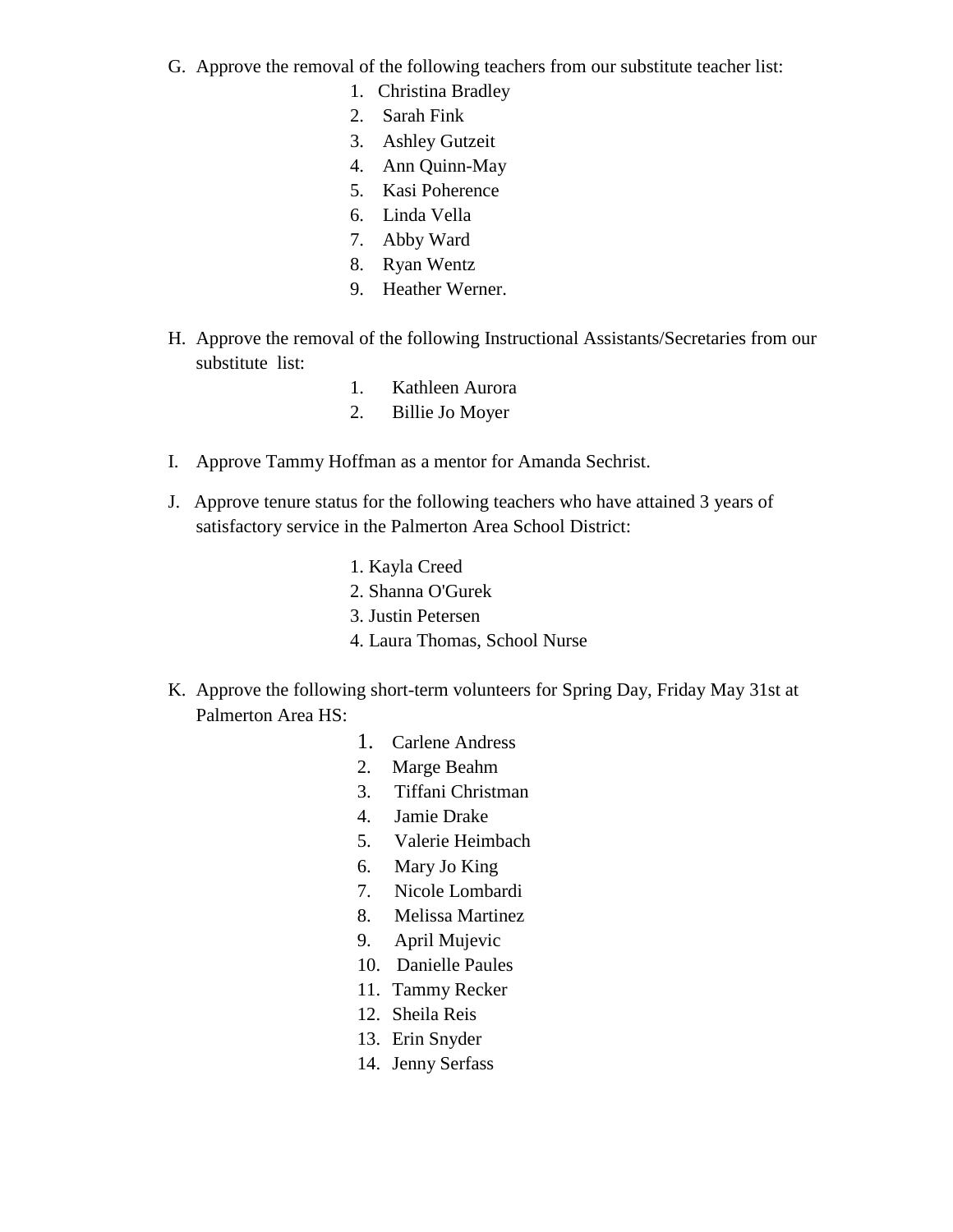- G. Approve the removal of the following teachers from our substitute teacher list:
	- 1. Christina Bradley
	- 2. Sarah Fink
	- 3. Ashley Gutzeit
	- 4. Ann Quinn-May
	- 5. Kasi Poherence
	- 6. Linda Vella
	- 7. Abby Ward
	- 8. Ryan Wentz
	- 9. Heather Werner.
- H. Approve the removal of the following Instructional Assistants/Secretaries from our substitute list:
	- 1. Kathleen Aurora
	- 2. Billie Jo Moyer
- I. Approve Tammy Hoffman as a mentor for Amanda Sechrist.
- J. Approve tenure status for the following teachers who have attained 3 years of satisfactory service in the Palmerton Area School District:
	- 1. Kayla Creed
	- 2. Shanna O'Gurek
	- 3. Justin Petersen
	- 4. Laura Thomas, School Nurse
- K. Approve the following short-term volunteers for Spring Day, Friday May 31st at Palmerton Area HS:
	- 1. Carlene Andress
	- 2. Marge Beahm
	- 3. Tiffani Christman
	- 4. Jamie Drake
	- 5. Valerie Heimbach
	- 6. Mary Jo King
	- 7. Nicole Lombardi
	- 8. Melissa Martinez
	- 9. April Mujevic
	- 10. Danielle Paules
	- 11. Tammy Recker
	- 12. Sheila Reis
	- 13. Erin Snyder
	- 14. Jenny Serfass